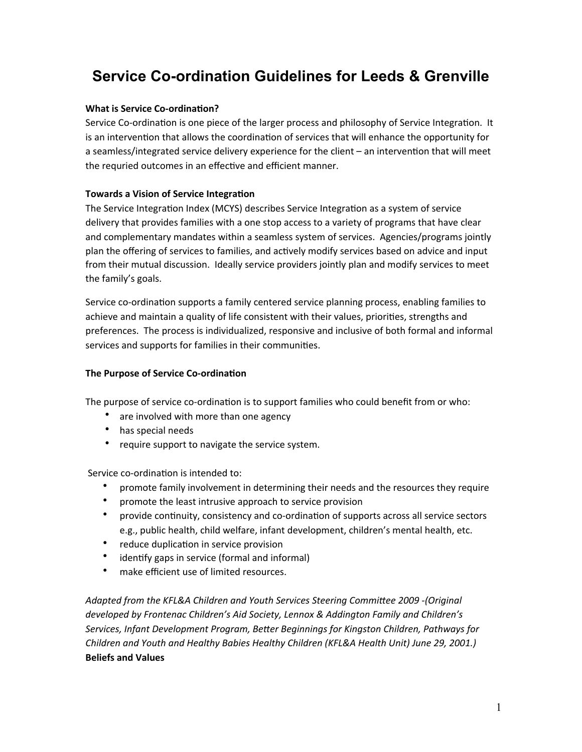# **Service Co-ordination Guidelines for Leeds & Grenville**

# **What is Service Co-ordination?**

Service Co-ordination is one piece of the larger process and philosophy of Service Integration. It is an intervention that allows the coordination of services that will enhance the opportunity for a seamless/integrated service delivery experience for the client – an intervention that will meet the requried outcomes in an effective and efficient manner.

# **Towards a Vision of Service Integration**

The Service Integration Index (MCYS) describes Service Integration as a system of service delivery that provides families with a one stop access to a variety of programs that have clear and complementary mandates within a seamless system of services. Agencies/programs jointly plan the offering of services to families, and actively modify services based on advice and input from their mutual discussion. Ideally service providers jointly plan and modify services to meet the family's goals.

Service co-ordination supports a family centered service planning process, enabling families to achieve and maintain a quality of life consistent with their values, priorities, strengths and preferences. The process is individualized, responsive and inclusive of both formal and informal services and supports for families in their communities.

# **The Purpose of Service Co-ordination**

The purpose of service co-ordination is to support families who could benefit from or who:

- are involved with more than one agency
- has special needs
- require support to navigate the service system.

Service co-ordination is intended to:

- promote family involvement in determining their needs and the resources they require
- promote the least intrusive approach to service provision
- provide continuity, consistency and co-ordination of supports across all service sectors e.g., public health, child welfare, infant development, children's mental health, etc.
- reduce duplication in service provision
- identify gaps in service (formal and informal)
- make efficient use of limited resources.

Adapted from the KFL&A Children and Youth Services Steering Committee 2009 -(Original developed by Frontenac Children's Aid Society, Lennox & Addington Family and Children's Services, *Infant Development Program, Better Beginnings for Kingston Children, Pathways for* Children and Youth and Healthy Babies Healthy Children (KFL&A Health Unit) June 29, 2001.) **Beliefs and Values**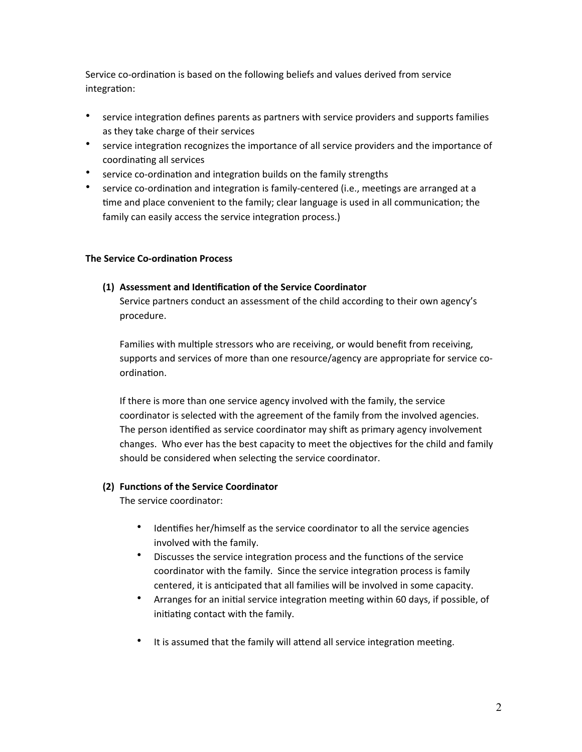Service co-ordination is based on the following beliefs and values derived from service integration:

- service integration defines parents as partners with service providers and supports families as they take charge of their services
- service integration recognizes the importance of all service providers and the importance of coordinating all services
- service co-ordination and integration builds on the family strengths
- service co-ordination and integration is family-centered (i.e., meetings are arranged at a time and place convenient to the family; clear language is used in all communication; the family can easily access the service integration process.)

# **The Service Co-ordination Process**

## **(1) Assessment and Iden2fica2on of the Service Coordinator**

Service partners conduct an assessment of the child according to their own agency's procedure.

Families with multiple stressors who are receiving, or would benefit from receiving, supports and services of more than one resource/agency are appropriate for service coordination.

If there is more than one service agency involved with the family, the service coordinator is selected with the agreement of the family from the involved agencies. The person identified as service coordinator may shift as primary agency involvement changes. Who ever has the best capacity to meet the objectives for the child and family should be considered when selecting the service coordinator.

#### **(2) Functions of the Service Coordinator**

The service coordinator:

- Identifies her/himself as the service coordinator to all the service agencies involved with the family.
- Discusses the service integration process and the functions of the service coordinator with the family. Since the service integration process is family centered, it is anticipated that all families will be involved in some capacity.
- Arranges for an initial service integration meeting within 60 days, if possible, of initiating contact with the family.
- It is assumed that the family will attend all service integration meeting.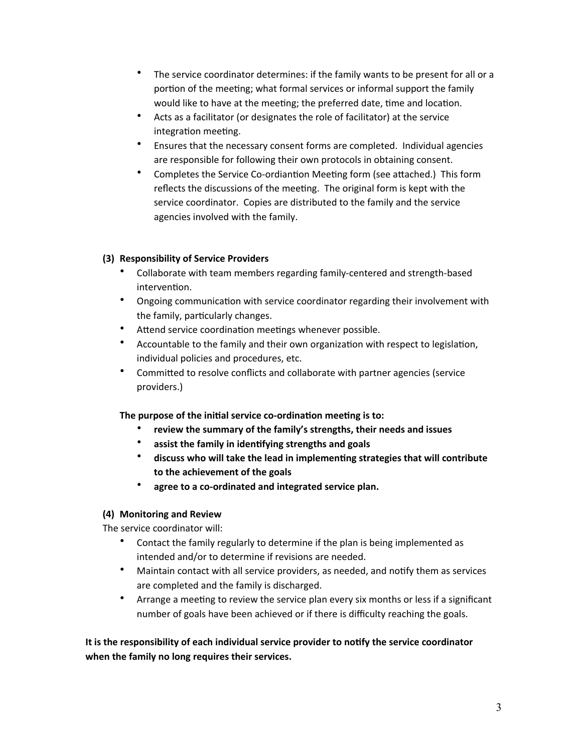- The service coordinator determines: if the family wants to be present for all or a portion of the meeting; what formal services or informal support the family would like to have at the meeting; the preferred date, time and location.
- Acts as a facilitator (or designates the role of facilitator) at the service integration meeting.
- Ensures that the necessary consent forms are completed. Individual agencies are responsible for following their own protocols in obtaining consent.
- Completes the Service Co-ordiantion Meeting form (see attached.) This form reflects the discussions of the meeting. The original form is kept with the service coordinator. Copies are distributed to the family and the service agencies involved with the family.

# **(3) Responsibility of Service Providers**

- Collaborate with team members regarding family-centered and strength-based intervention.
- Ongoing communication with service coordinator regarding their involvement with the family, particularly changes.
- Attend service coordination meetings whenever possible.
- Accountable to the family and their own organization with respect to legislation, individual policies and procedures, etc.
- Committed to resolve conflicts and collaborate with partner agencies (service providers.)

The purpose of the initial service co-ordination meeting is to:

- review the summary of the family's strengths, their needs and issues
- assist the family in identifying strengths and goals
- discuss who will take the lead in implementing strategies that will contribute to the achievement of the goals
- agree to a co-ordinated and integrated service plan.

# **(4) Monitoring and Review**

The service coordinator will:

- Contact the family regularly to determine if the plan is being implemented as intended and/or to determine if revisions are needed.
- Maintain contact with all service providers, as needed, and notify them as services are completed and the family is discharged.
- Arrange a meeting to review the service plan every six months or less if a significant number of goals have been achieved or if there is difficulty reaching the goals.

It is the responsibility of each individual service provider to notify the service coordinator when the family no long requires their services.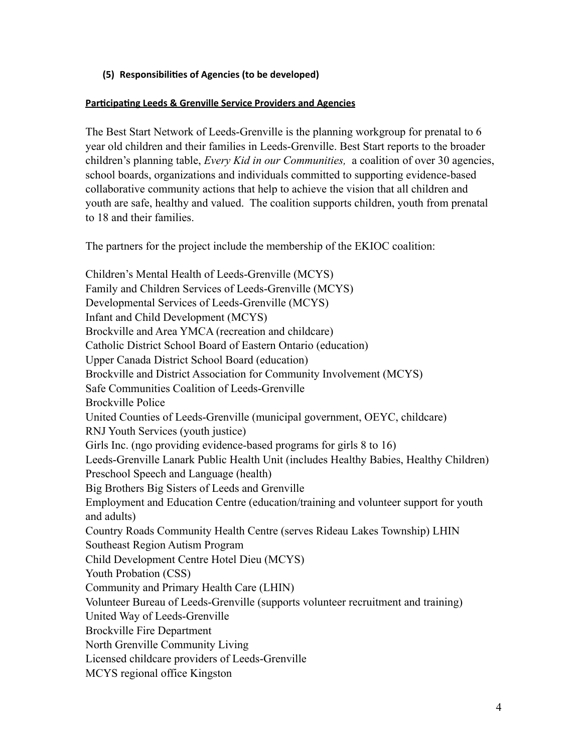# **(5) Responsibili2es of Agencies (to be developed)**

## **Participating Leeds & Grenville Service Providers and Agencies**

The Best Start Network of Leeds-Grenville is the planning workgroup for prenatal to 6 year old children and their families in Leeds-Grenville. Best Start reports to the broader children's planning table, *Every Kid in our Communities,* a coalition of over 30 agencies, school boards, organizations and individuals committed to supporting evidence-based collaborative community actions that help to achieve the vision that all children and youth are safe, healthy and valued. The coalition supports children, youth from prenatal to 18 and their families.

The partners for the project include the membership of the EKIOC coalition:

Children's Mental Health of Leeds-Grenville (MCYS) Family and Children Services of Leeds-Grenville (MCYS) Developmental Services of Leeds-Grenville (MCYS) Infant and Child Development (MCYS) Brockville and Area YMCA (recreation and childcare) Catholic District School Board of Eastern Ontario (education) Upper Canada District School Board (education) Brockville and District Association for Community Involvement (MCYS) Safe Communities Coalition of Leeds-Grenville Brockville Police United Counties of Leeds-Grenville (municipal government, OEYC, childcare) RNJ Youth Services (youth justice) Girls Inc. (ngo providing evidence-based programs for girls 8 to 16) Leeds-Grenville Lanark Public Health Unit (includes Healthy Babies, Healthy Children) Preschool Speech and Language (health) Big Brothers Big Sisters of Leeds and Grenville Employment and Education Centre (education/training and volunteer support for youth and adults) Country Roads Community Health Centre (serves Rideau Lakes Township) LHIN Southeast Region Autism Program Child Development Centre Hotel Dieu (MCYS) Youth Probation (CSS) Community and Primary Health Care (LHIN) Volunteer Bureau of Leeds-Grenville (supports volunteer recruitment and training) United Way of Leeds-Grenville Brockville Fire Department North Grenville Community Living Licensed childcare providers of Leeds-Grenville MCYS regional office Kingston